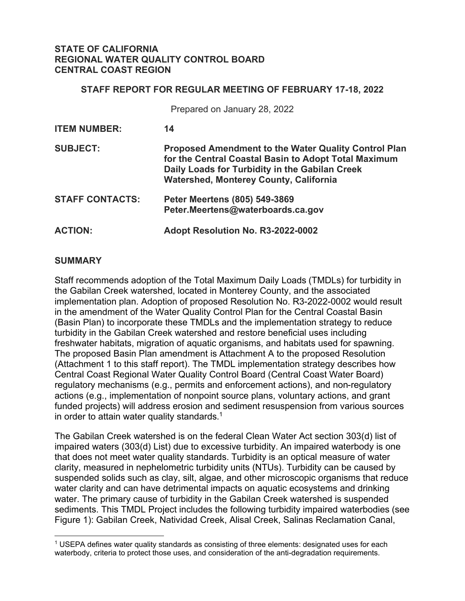### **STATE OF CALIFORNIA REGIONAL WATER QUALITY CONTROL BOARD CENTRAL COAST REGION**

### **STAFF REPORT FOR REGULAR MEETING OF FEBRUARY 17-18, 2022**

Prepared on January 28, 2022

| <b>ITEM NUMBER:</b>    | 14                                                                                                                                                                                                                     |
|------------------------|------------------------------------------------------------------------------------------------------------------------------------------------------------------------------------------------------------------------|
| <b>SUBJECT:</b>        | <b>Proposed Amendment to the Water Quality Control Plan</b><br>for the Central Coastal Basin to Adopt Total Maximum<br>Daily Loads for Turbidity in the Gabilan Creek<br><b>Watershed, Monterey County, California</b> |
| <b>STAFF CONTACTS:</b> | Peter Meertens (805) 549-3869<br>Peter.Meertens@waterboards.ca.gov                                                                                                                                                     |
| <b>ACTION:</b>         | Adopt Resolution No. R3-2022-0002                                                                                                                                                                                      |

### **SUMMARY**

Staff recommends adoption of the Total Maximum Daily Loads (TMDLs) for turbidity in the Gabilan Creek watershed, located in Monterey County, and the associated implementation plan. Adoption of proposed Resolution No. R3-2022-0002 would result in the amendment of the Water Quality Control Plan for the Central Coastal Basin (Basin Plan) to incorporate these TMDLs and the implementation strategy to reduce turbidity in the Gabilan Creek watershed and restore beneficial uses including freshwater habitats, migration of aquatic organisms, and habitats used for spawning. The proposed Basin Plan amendment is Attachment A to the proposed Resolution (Attachment 1 to this staff report). The TMDL implementation strategy describes how Central Coast Regional Water Quality Control Board (Central Coast Water Board) regulatory mechanisms (e.g., permits and enforcement actions), and non-regulatory actions (e.g., implementation of nonpoint source plans, voluntary actions, and grant funded projects) will address erosion and sediment resuspension from various sources in order to attain water quality standards. [1](#page-0-0)

The Gabilan Creek watershed is on the federal Clean Water Act section 303(d) list of impaired waters (303(d) List) due to excessive turbidity. An impaired waterbody is one that does not meet water quality standards. Turbidity is an optical measure of water clarity, measured in nephelometric turbidity units (NTUs). Turbidity can be caused by suspended solids such as clay, silt, algae, and other microscopic organisms that reduce water clarity and can have detrimental impacts on aquatic ecosystems and drinking water. The primary cause of turbidity in the Gabilan Creek watershed is suspended sediments. This TMDL Project includes the following turbidity impaired waterbodies (see Figure 1): Gabilan Creek, Natividad Creek, Alisal Creek, Salinas Reclamation Canal,

<span id="page-0-0"></span><sup>1</sup> USEPA defines water quality standards as consisting of three elements: designated uses for each waterbody, criteria to protect those uses, and consideration of the anti-degradation requirements.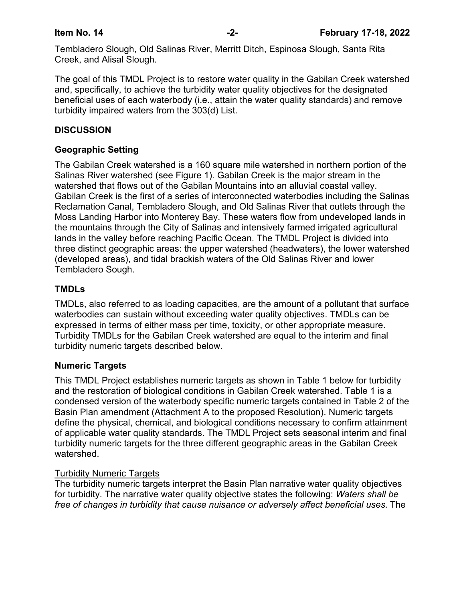Tembladero Slough, Old Salinas River, Merritt Ditch, Espinosa Slough, Santa Rita Creek, and Alisal Slough.

The goal of this TMDL Project is to restore water quality in the Gabilan Creek watershed and, specifically, to achieve the turbidity water quality objectives for the designated beneficial uses of each waterbody (i.e., attain the water quality standards) and remove turbidity impaired waters from the 303(d) List.

# **DISCUSSION**

# **Geographic Setting**

The Gabilan Creek watershed is a 160 square mile watershed in northern portion of the Salinas River watershed (see Figure 1). Gabilan Creek is the major stream in the watershed that flows out of the Gabilan Mountains into an alluvial coastal valley. Gabilan Creek is the first of a series of interconnected waterbodies including the Salinas Reclamation Canal, Tembladero Slough, and Old Salinas River that outlets through the Moss Landing Harbor into Monterey Bay. These waters flow from undeveloped lands in the mountains through the City of Salinas and intensively farmed irrigated agricultural lands in the valley before reaching Pacific Ocean. The TMDL Project is divided into three distinct geographic areas: the upper watershed (headwaters), the lower watershed (developed areas), and tidal brackish waters of the Old Salinas River and lower Tembladero Sough.

## **TMDLs**

TMDLs, also referred to as loading capacities, are the amount of a pollutant that surface waterbodies can sustain without exceeding water quality objectives. TMDLs can be expressed in terms of either mass per time, toxicity, or other appropriate measure. Turbidity TMDLs for the Gabilan Creek watershed are equal to the interim and final turbidity numeric targets described below.

## **Numeric Targets**

This TMDL Project establishes numeric targets as shown in Table 1 below for turbidity and the restoration of biological conditions in Gabilan Creek watershed. Table 1 is a condensed version of the waterbody specific numeric targets contained in Table 2 of the Basin Plan amendment (Attachment A to the proposed Resolution). Numeric targets define the physical, chemical, and biological conditions necessary to confirm attainment of applicable water quality standards. The TMDL Project sets seasonal interim and final turbidity numeric targets for the three different geographic areas in the Gabilan Creek watershed.

## Turbidity Numeric Targets

The turbidity numeric targets interpret the Basin Plan narrative water quality objectives for turbidity. The narrative water quality objective states the following: *Waters shall be free of changes in turbidity that cause nuisance or adversely affect beneficial uses.* The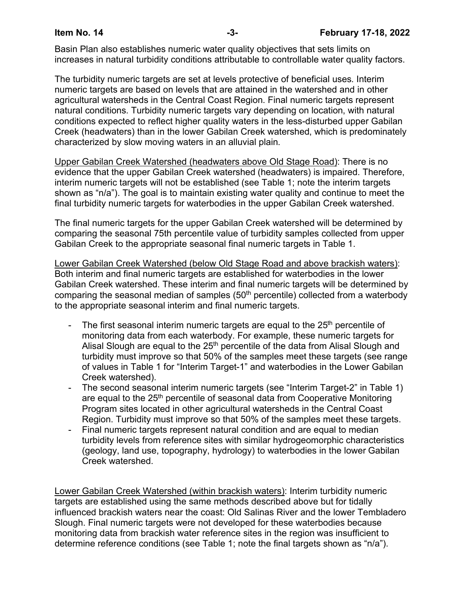Basin Plan also establishes numeric water quality objectives that sets limits on increases in natural turbidity conditions attributable to controllable water quality factors.

The turbidity numeric targets are set at levels protective of beneficial uses. Interim numeric targets are based on levels that are attained in the watershed and in other agricultural watersheds in the Central Coast Region. Final numeric targets represent natural conditions. Turbidity numeric targets vary depending on location, with natural conditions expected to reflect higher quality waters in the less-disturbed upper Gabilan Creek (headwaters) than in the lower Gabilan Creek watershed, which is predominately characterized by slow moving waters in an alluvial plain.

Upper Gabilan Creek Watershed (headwaters above Old Stage Road): There is no evidence that the upper Gabilan Creek watershed (headwaters) is impaired. Therefore, interim numeric targets will not be established (see Table 1; note the interim targets shown as "n/a"). The goal is to maintain existing water quality and continue to meet the final turbidity numeric targets for waterbodies in the upper Gabilan Creek watershed.

The final numeric targets for the upper Gabilan Creek watershed will be determined by comparing the seasonal 75th percentile value of turbidity samples collected from upper Gabilan Creek to the appropriate seasonal final numeric targets in Table 1.

Lower Gabilan Creek Watershed (below Old Stage Road and above brackish waters): Both interim and final numeric targets are established for waterbodies in the lower Gabilan Creek watershed. These interim and final numeric targets will be determined by comparing the seasonal median of samples  $(50<sup>th</sup>$  percentile) collected from a waterbody to the appropriate seasonal interim and final numeric targets.

- The first seasonal interim numeric targets are equal to the  $25<sup>th</sup>$  percentile of monitoring data from each waterbody. For example, these numeric targets for Alisal Slough are equal to the  $25<sup>th</sup>$  percentile of the data from Alisal Slough and turbidity must improve so that 50% of the samples meet these targets (see range of values in Table 1 for "Interim Target-1" and waterbodies in the Lower Gabilan Creek watershed).
- The second seasonal interim numeric targets (see "Interim Target-2" in Table 1) are equal to the 25<sup>th</sup> percentile of seasonal data from Cooperative Monitoring Program sites located in other agricultural watersheds in the Central Coast Region. Turbidity must improve so that 50% of the samples meet these targets.
- Final numeric targets represent natural condition and are equal to median turbidity levels from reference sites with similar hydrogeomorphic characteristics (geology, land use, topography, hydrology) to waterbodies in the lower Gabilan Creek watershed.

Lower Gabilan Creek Watershed (within brackish waters): Interim turbidity numeric targets are established using the same methods described above but for tidally influenced brackish waters near the coast: Old Salinas River and the lower Tembladero Slough. Final numeric targets were not developed for these waterbodies because monitoring data from brackish water reference sites in the region was insufficient to determine reference conditions (see Table 1; note the final targets shown as "n/a").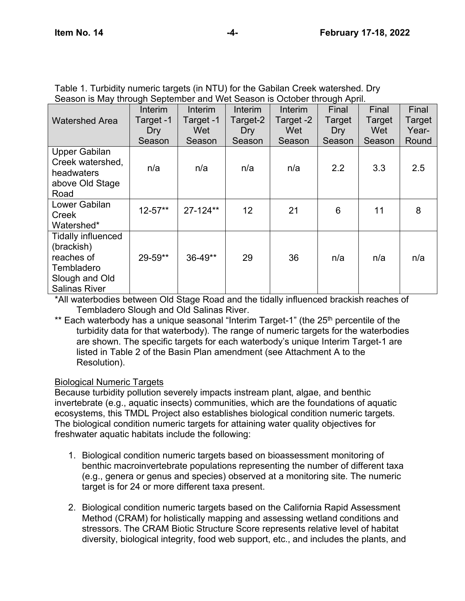|                                                                                                               | Interim     | Interim      | Interim         | Interim   | Final  | Final  | Final  |
|---------------------------------------------------------------------------------------------------------------|-------------|--------------|-----------------|-----------|--------|--------|--------|
| <b>Watershed Area</b>                                                                                         | Target -1   | Target -1    | Target-2        | Target -2 | Target | Target | Target |
|                                                                                                               | Dry         | Wet          | Dry             | Wet       | Dry    | Wet    | Year-  |
|                                                                                                               | Season      | Season       | Season          | Season    | Season | Season | Round  |
| Upper Gabilan<br>Creek watershed,<br>headwaters<br>above Old Stage<br>Road                                    | n/a         | n/a          | n/a             | n/a       | 2.2    | 3.3    | 2.5    |
| Lower Gabilan<br>Creek<br>Watershed*                                                                          | $12 - 57**$ | $27 - 124**$ | 12 <sub>2</sub> | 21        | 6      | 11     | 8      |
| <b>Tidally influenced</b><br>(brackish)<br>reaches of<br>Tembladero<br>Slough and Old<br><b>Salinas River</b> | 29-59**     | $36 - 49**$  | 29              | 36        | n/a    | n/a    | n/a    |

| Table 1. Turbidity numeric targets (in NTU) for the Gabilan Creek watershed. Dry |  |
|----------------------------------------------------------------------------------|--|
| Season is May through September and Wet Season is October through April.         |  |

\*All waterbodies between Old Stage Road and the tidally influenced brackish reaches of Tembladero Slough and Old Salinas River.

\*\* Each waterbody has a unique seasonal "Interim Target-1" (the 25<sup>th</sup> percentile of the turbidity data for that waterbody). The range of numeric targets for the waterbodies are shown. The specific targets for each waterbody's unique Interim Target-1 are listed in Table 2 of the Basin Plan amendment (see Attachment A to the Resolution).

# Biological Numeric Targets

Because turbidity pollution severely impacts instream plant, algae, and benthic invertebrate (e.g., aquatic insects) communities, which are the foundations of aquatic ecosystems, this TMDL Project also establishes biological condition numeric targets. The biological condition numeric targets for attaining water quality objectives for freshwater aquatic habitats include the following:

- 1. Biological condition numeric targets based on bioassessment monitoring of benthic macroinvertebrate populations representing the number of different taxa (e.g., genera or genus and species) observed at a monitoring site. The numeric target is for 24 or more different taxa present.
- 2. Biological condition numeric targets based on the California Rapid Assessment Method (CRAM) for holistically mapping and assessing wetland conditions and stressors. The CRAM Biotic Structure Score represents relative level of habitat diversity, biological integrity, food web support, etc., and includes the plants, and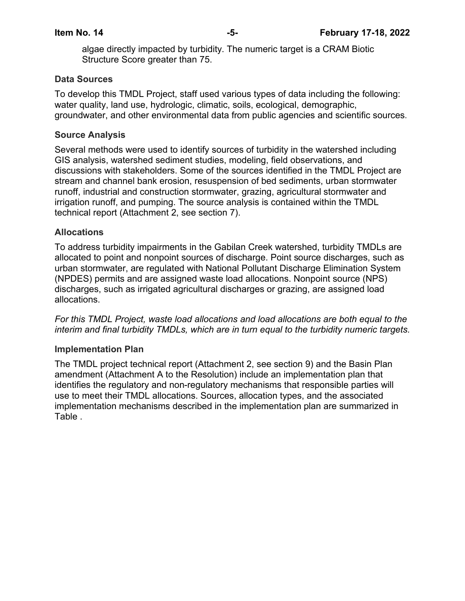algae directly impacted by turbidity. The numeric target is a CRAM Biotic Structure Score greater than 75.

### **Data Sources**

To develop this TMDL Project, staff used various types of data including the following: water quality, land use, hydrologic, climatic, soils, ecological, demographic, groundwater, and other environmental data from public agencies and scientific sources.

### **Source Analysis**

Several methods were used to identify sources of turbidity in the watershed including GIS analysis, watershed sediment studies, modeling, field observations, and discussions with stakeholders. Some of the sources identified in the TMDL Project are stream and channel bank erosion, resuspension of bed sediments, urban stormwater runoff, industrial and construction stormwater, grazing, agricultural stormwater and irrigation runoff, and pumping. The source analysis is contained within the TMDL technical report (Attachment 2, see section 7).

### **Allocations**

To address turbidity impairments in the Gabilan Creek watershed, turbidity TMDLs are allocated to point and nonpoint sources of discharge. Point source discharges, such as urban stormwater, are regulated with National Pollutant Discharge Elimination System (NPDES) permits and are assigned waste load allocations. Nonpoint source (NPS) discharges, such as irrigated agricultural discharges or grazing, are assigned load allocations.

*For this TMDL Project, waste load allocations and load allocations are both equal to the interim and final turbidity TMDLs, which are in turn equal to the turbidity numeric targets.*

### **Implementation Plan**

The TMDL project technical report (Attachment 2, see section 9) and the Basin Plan amendment (Attachment A to the Resolution) include an implementation plan that identifies the regulatory and non-regulatory mechanisms that responsible parties will use to meet their TMDL allocations. Sources, allocation types, and the associated implementation mechanisms described in the implementation plan are summarized in [Table](#page-5-0) .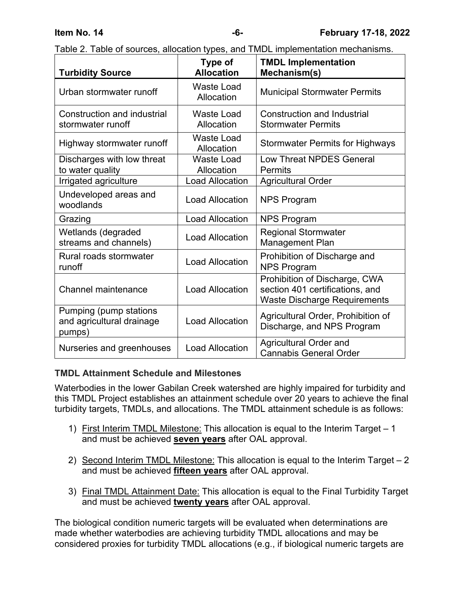| <b>Turbidity Source</b>                                       | Type of<br><b>Allocation</b>    | <b>TMDL Implementation</b><br>Mechanism(s)                                                              |
|---------------------------------------------------------------|---------------------------------|---------------------------------------------------------------------------------------------------------|
| Urban stormwater runoff                                       | <b>Waste Load</b><br>Allocation | <b>Municipal Stormwater Permits</b>                                                                     |
| Construction and industrial<br>stormwater runoff              | <b>Waste Load</b><br>Allocation | <b>Construction and Industrial</b><br><b>Stormwater Permits</b>                                         |
| Highway stormwater runoff                                     | <b>Waste Load</b><br>Allocation | <b>Stormwater Permits for Highways</b>                                                                  |
| Discharges with low threat<br>to water quality                | <b>Waste Load</b><br>Allocation | <b>Low Threat NPDES General</b><br>Permits                                                              |
| Irrigated agriculture                                         | <b>Load Allocation</b>          | <b>Agricultural Order</b>                                                                               |
| Undeveloped areas and<br>woodlands                            | <b>Load Allocation</b>          | <b>NPS Program</b>                                                                                      |
| Grazing                                                       | <b>Load Allocation</b>          | <b>NPS Program</b>                                                                                      |
| Wetlands (degraded<br>streams and channels)                   | <b>Load Allocation</b>          | <b>Regional Stormwater</b><br><b>Management Plan</b>                                                    |
| Rural roads stormwater<br>runoff                              | <b>Load Allocation</b>          | Prohibition of Discharge and<br><b>NPS Program</b>                                                      |
| <b>Channel maintenance</b>                                    | <b>Load Allocation</b>          | Prohibition of Discharge, CWA<br>section 401 certifications, and<br><b>Waste Discharge Requirements</b> |
| Pumping (pump stations<br>and agricultural drainage<br>pumps) | <b>Load Allocation</b>          | Agricultural Order, Prohibition of<br>Discharge, and NPS Program                                        |
| Nurseries and greenhouses                                     | <b>Load Allocation</b>          | <b>Agricultural Order and</b><br><b>Cannabis General Order</b>                                          |

<span id="page-5-0"></span>

|  | Table 2. Table of sources, allocation types, and TMDL implementation mechanisms. |
|--|----------------------------------------------------------------------------------|
|  |                                                                                  |

## **TMDL Attainment Schedule and Milestones**

Waterbodies in the lower Gabilan Creek watershed are highly impaired for turbidity and this TMDL Project establishes an attainment schedule over 20 years to achieve the final turbidity targets, TMDLs, and allocations. The TMDL attainment schedule is as follows:

- 1) First Interim TMDL Milestone: This allocation is equal to the Interim Target 1 and must be achieved **seven years** after OAL approval.
- 2) Second Interim TMDL Milestone: This allocation is equal to the Interim Target 2 and must be achieved **fifteen years** after OAL approval.
- 3) Final TMDL Attainment Date: This allocation is equal to the Final Turbidity Target and must be achieved **twenty years** after OAL approval.

The biological condition numeric targets will be evaluated when determinations are made whether waterbodies are achieving turbidity TMDL allocations and may be considered proxies for turbidity TMDL allocations (e.g., if biological numeric targets are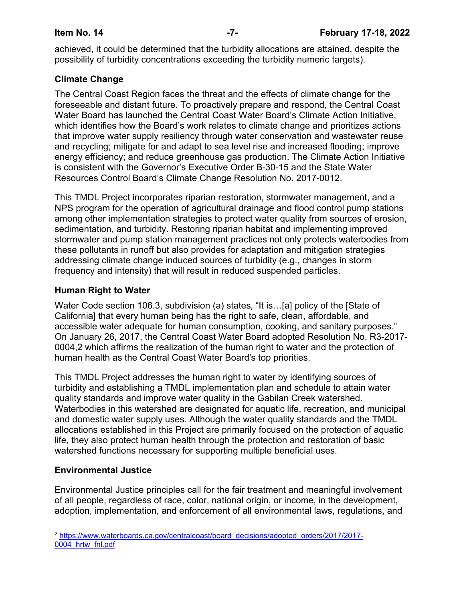achieved, it could be determined that the turbidity allocations are attained, despite the possibility of turbidity concentrations exceeding the turbidity numeric targets).

# **Climate Change**

The Central Coast Region faces the threat and the effects of climate change for the foreseeable and distant future. To proactively prepare and respond, the Central Coast Water Board has launched the Central Coast Water Board's Climate Action Initiative, which identifies how the Board's work relates to climate change and prioritizes actions that improve water supply resiliency through water conservation and wastewater reuse and recycling; mitigate for and adapt to sea level rise and increased flooding; improve energy efficiency; and reduce greenhouse gas production. The Climate Action Initiative is consistent with the Governor's Executive Order B-30-15 and the State Water Resources Control Board's Climate Change Resolution No. 2017-0012.

This TMDL Project incorporates riparian restoration, stormwater management, and a NPS program for the operation of agricultural drainage and flood control pump stations among other implementation strategies to protect water quality from sources of erosion, sedimentation, and turbidity. Restoring riparian habitat and implementing improved stormwater and pump station management practices not only protects waterbodies from these pollutants in runoff but also provides for adaptation and mitigation strategies addressing climate change induced sources of turbidity (e.g., changes in storm frequency and intensity) that will result in reduced suspended particles.

## **Human Right to Water**

Water Code section 106.3, subdivision (a) states, "It is…[a] policy of the [State of California] that every human being has the right to safe, clean, affordable, and accessible water adequate for human consumption, cooking, and sanitary purposes." On January 26, 2017, the Central Coast Water Board adopted [Resolution No. R3-2017-](https://www.waterboards.ca.gov/centralcoast/board_decisions/adopted_orders/2017/2017-0004_hrtw_fnl.pdf) [0004,](https://www.waterboards.ca.gov/centralcoast/board_decisions/adopted_orders/2017/2017-0004_hrtw_fnl.pdf)[2](#page-6-0) which affirms the realization of the human right to water and the protection of human health as the Central Coast Water Board's top priorities.

This TMDL Project addresses the human right to water by identifying sources of turbidity and establishing a TMDL implementation plan and schedule to attain water quality standards and improve water quality in the Gabilan Creek watershed. Waterbodies in this watershed are designated for aquatic life, recreation, and municipal and domestic water supply uses. Although the water quality standards and the TMDL allocations established in this Project are primarily focused on the protection of aquatic life, they also protect human health through the protection and restoration of basic watershed functions necessary for supporting multiple beneficial uses.

# **Environmental Justice**

Environmental Justice principles call for the fair treatment and meaningful involvement of all people, regardless of race, color, national origin, or income, in the development, adoption, implementation, and enforcement of all environmental laws, regulations, and

<span id="page-6-0"></span><sup>2</sup> [https://www.waterboards.ca.gov/centralcoast/board\\_decisions/adopted\\_orders/2017/2017-](https://www.waterboards.ca.gov/centralcoast/board_decisions/adopted_orders/2017/2017-0004_hrtw_fnl.pdf) [0004\\_hrtw\\_fnl.pdf](https://www.waterboards.ca.gov/centralcoast/board_decisions/adopted_orders/2017/2017-0004_hrtw_fnl.pdf)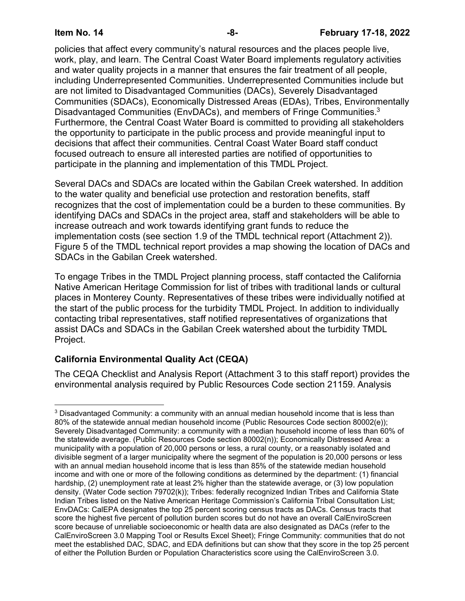policies that affect every community's natural resources and the places people live, work, play, and learn. The Central Coast Water Board implements regulatory activities and water quality projects in a manner that ensures the fair treatment of all people, including Underrepresented Communities. Underrepresented Communities include but are not limited to Disadvantaged Communities (DACs), Severely Disadvantaged Communities (SDACs), Economically Distressed Areas (EDAs), Tribes, Environmentally Disadvantaged Communities (EnvDACs), and members of Fringe Communities.[3](#page-7-0) Furthermore, the Central Coast Water Board is committed to providing all stakeholders the opportunity to participate in the public process and provide meaningful input to decisions that affect their communities. Central Coast Water Board staff conduct focused outreach to ensure all interested parties are notified of opportunities to participate in the planning and implementation of this TMDL Project.

Several DACs and SDACs are located within the Gabilan Creek watershed. In addition to the water quality and beneficial use protection and restoration benefits, staff recognizes that the cost of implementation could be a burden to these communities. By identifying DACs and SDACs in the project area, staff and stakeholders will be able to increase outreach and work towards identifying grant funds to reduce the implementation costs (see section 1.9 of the TMDL technical report (Attachment 2)). Figure 5 of the TMDL technical report provides a map showing the location of DACs and SDACs in the Gabilan Creek watershed.

To engage Tribes in the TMDL Project planning process, staff contacted the California Native American Heritage Commission for list of tribes with traditional lands or cultural places in Monterey County. Representatives of these tribes were individually notified at the start of the public process for the turbidity TMDL Project. In addition to individually contacting tribal representatives, staff notified representatives of organizations that assist DACs and SDACs in the Gabilan Creek watershed about the turbidity TMDL Project.

# **California Environmental Quality Act (CEQA)**

The CEQA Checklist and Analysis Report (Attachment 3 to this staff report) provides the environmental analysis required by Public Resources Code section 21159. Analysis

<span id="page-7-0"></span><sup>&</sup>lt;sup>3</sup> Disadvantaged Community: a community with an annual median household income that is less than 80% of the statewide annual median household income (Public Resources Code section 80002(e)); Severely Disadvantaged Community: a community with a median household income of less than 60% of the statewide average. (Public Resources Code section 80002(n)); Economically Distressed Area: a municipality with a population of 20,000 persons or less, a rural county, or a reasonably isolated and divisible segment of a larger municipality where the segment of the population is 20,000 persons or less with an annual median household income that is less than 85% of the statewide median household income and with one or more of the following conditions as determined by the department: (1) financial hardship, (2) unemployment rate at least 2% higher than the statewide average, or (3) low population density. (Water Code section 79702(k)); Tribes: federally recognized Indian Tribes and California State Indian Tribes listed on the Native American Heritage Commission's California Tribal Consultation List; EnvDACs: CalEPA designates the top 25 percent scoring census tracts as DACs. Census tracts that score the highest five percent of pollution burden scores but do not have an overall CalEnviroScreen score because of unreliable socioeconomic or health data are also designated as DACs (refer to the CalEnviroScreen 3.0 Mapping Tool or Results Excel Sheet); Fringe Community: communities that do not meet the established DAC, SDAC, and EDA definitions but can show that they score in the top 25 percent of either the Pollution Burden or Population Characteristics score using the CalEnviroScreen 3.0.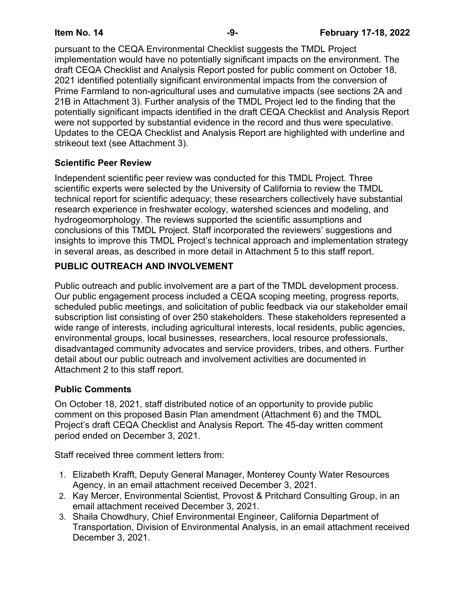pursuant to the CEQA Environmental Checklist suggests the TMDL Project implementation would have no potentially significant impacts on the environment. The draft CEQA Checklist and Analysis Report posted for public comment on October 18, 2021 identified potentially significant environmental impacts from the conversion of Prime Farmland to non-agricultural uses and cumulative impacts (see sections 2A and 21B in Attachment 3). Further analysis of the TMDL Project led to the finding that the potentially significant impacts identified in the draft CEQA Checklist and Analysis Report were not supported by substantial evidence in the record and thus were speculative. Updates to the CEQA Checklist and Analysis Report are highlighted with underline and strikeout text (see Attachment 3).

# **Scientific Peer Review**

Independent scientific peer review was conducted for this TMDL Project. Three scientific experts were selected by the University of California to review the TMDL technical report for scientific adequacy; these researchers collectively have substantial research experience in freshwater ecology, watershed sciences and modeling, and hydrogeomorphology. The reviews supported the scientific assumptions and conclusions of this TMDL Project. Staff incorporated the reviewers' suggestions and insights to improve this TMDL Project's technical approach and implementation strategy in several areas, as described in more detail in Attachment 5 to this staff report.

# **PUBLIC OUTREACH AND INVOLVEMENT**

Public outreach and public involvement are a part of the TMDL development process. Our public engagement process included a CEQA scoping meeting, progress reports, scheduled public meetings, and solicitation of public feedback via our stakeholder email subscription list consisting of over 250 stakeholders. These stakeholders represented a wide range of interests, including agricultural interests, local residents, public agencies, environmental groups, local businesses, researchers, local resource professionals, disadvantaged community advocates and service providers, tribes, and others. Further detail about our public outreach and involvement activities are documented in Attachment 2 to this staff report.

## **Public Comments**

On October 18, 2021, staff distributed notice of an opportunity to provide public comment on this proposed Basin Plan amendment (Attachment 6) and the TMDL Project's draft CEQA Checklist and Analysis Report. The 45-day written comment period ended on December 3, 2021.

Staff received three comment letters from:

- 1. Elizabeth Krafft, Deputy General Manager, Monterey County Water Resources Agency, in an email attachment received December 3, 2021.
- 2. Kay Mercer, Environmental Scientist, Provost & Pritchard Consulting Group, in an email attachment received December 3, 2021.
- 3. Shaila Chowdhury, Chief Environmental Engineer, California Department of Transportation, Division of Environmental Analysis, in an email attachment received December 3, 2021.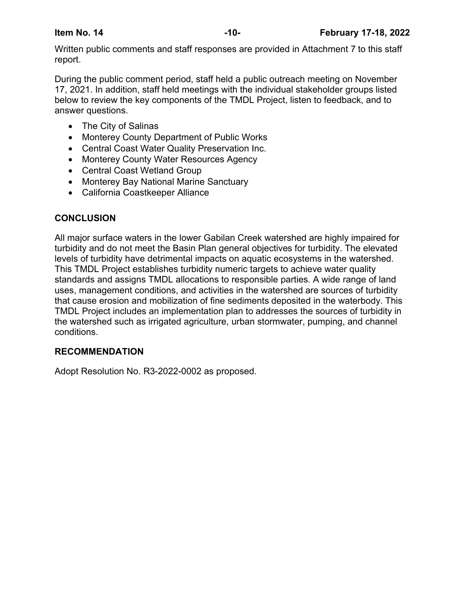Written public comments and staff responses are provided in Attachment 7 to this staff report.

During the public comment period, staff held a public outreach meeting on November 17, 2021. In addition, staff held meetings with the individual stakeholder groups listed below to review the key components of the TMDL Project, listen to feedback, and to answer questions.

- · The City of Salinas
- · Monterey County Department of Public Works
- · Central Coast Water Quality Preservation Inc.
- · Monterey County Water Resources Agency
- · Central Coast Wetland Group
- · Monterey Bay National Marine Sanctuary
- · California Coastkeeper Alliance

# **CONCLUSION**

All major surface waters in the lower Gabilan Creek watershed are highly impaired for turbidity and do not meet the Basin Plan general objectives for turbidity. The elevated levels of turbidity have detrimental impacts on aquatic ecosystems in the watershed. This TMDL Project establishes turbidity numeric targets to achieve water quality standards and assigns TMDL allocations to responsible parties. A wide range of land uses, management conditions, and activities in the watershed are sources of turbidity that cause erosion and mobilization of fine sediments deposited in the waterbody. This TMDL Project includes an implementation plan to addresses the sources of turbidity in the watershed such as irrigated agriculture, urban stormwater, pumping, and channel conditions.

## **RECOMMENDATION**

Adopt Resolution No. R3-2022-0002 as proposed.